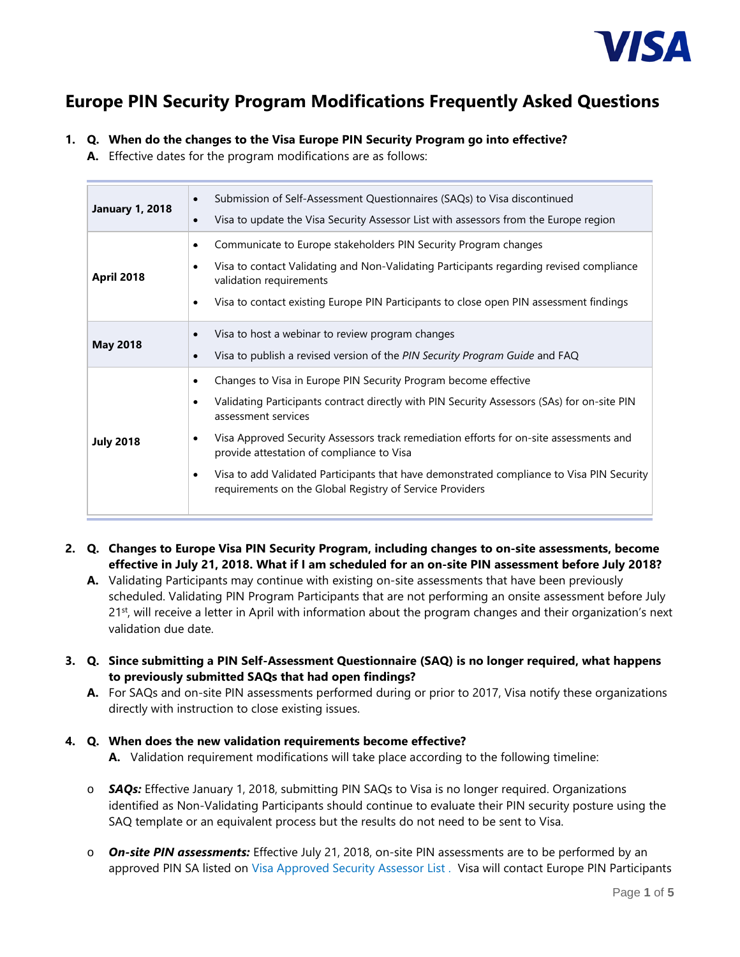

# **Europe PIN Security Program Modifications Frequently Asked Questions**

# **1. Q. When do the changes to the Visa Europe PIN Security Program go into effective?**

**A.** Effective dates for the program modifications are as follows:

| <b>January 1, 2018</b> | Submission of Self-Assessment Questionnaires (SAQs) to Visa discontinued<br>$\bullet$<br>Visa to update the Visa Security Assessor List with assessors from the Europe region<br>$\bullet$                                                                                                                                                                                                                                                                                                                                                |
|------------------------|-------------------------------------------------------------------------------------------------------------------------------------------------------------------------------------------------------------------------------------------------------------------------------------------------------------------------------------------------------------------------------------------------------------------------------------------------------------------------------------------------------------------------------------------|
| <b>April 2018</b>      | Communicate to Europe stakeholders PIN Security Program changes<br>۰<br>Visa to contact Validating and Non-Validating Participants regarding revised compliance<br>$\bullet$<br>validation requirements<br>Visa to contact existing Europe PIN Participants to close open PIN assessment findings<br>$\bullet$                                                                                                                                                                                                                            |
| <b>May 2018</b>        | Visa to host a webinar to review program changes<br>$\bullet$<br>Visa to publish a revised version of the PIN Security Program Guide and FAQ<br>$\bullet$                                                                                                                                                                                                                                                                                                                                                                                 |
| <b>July 2018</b>       | Changes to Visa in Europe PIN Security Program become effective<br>$\bullet$<br>Validating Participants contract directly with PIN Security Assessors (SAs) for on-site PIN<br>$\bullet$<br>assessment services<br>Visa Approved Security Assessors track remediation efforts for on-site assessments and<br>$\bullet$<br>provide attestation of compliance to Visa<br>Visa to add Validated Participants that have demonstrated compliance to Visa PIN Security<br>$\bullet$<br>requirements on the Global Registry of Service Providers |

- **2. Q. Changes to Europe Visa PIN Security Program, including changes to on-site assessments, become effective in July 21, 2018. What if I am scheduled for an on-site PIN assessment before July 2018?**
	- **A.** Validating Participants may continue with existing on-site assessments that have been previously scheduled. Validating PIN Program Participants that are not performing an onsite assessment before July 21<sup>st</sup>, will receive a letter in April with information about the program changes and their organization's next validation due date.
- **3. Q. Since submitting a PIN Self-Assessment Questionnaire (SAQ) is no longer required, what happens to previously submitted SAQs that had open findings?** 
	- **A.** For SAQs and on-site PIN assessments performed during or prior to 2017, Visa notify these organizations directly with instruction to close existing issues.

# **4. Q. When does the new validation requirements become effective? A.** Validation requirement modifications will take place according to the following timeline:

- o *SAQs:* Effective January 1, 2018, submitting PIN SAQs to Visa is no longer required. Organizations identified as Non-Validating Participants should continue to evaluate their PIN security posture using the SAQ template or an equivalent process but the results do not need to be sent to Visa.
- o *On-site PIN assessments:* Effective July 21, 2018, on-site PIN assessments are to be performed by an approved PIN SA listed on [Visa Approved Security Assessor List](https://usa.visa.com/dam/VCOM/download/security/documents/sa-global-list.pdf) . Visa will contact Europe PIN Participants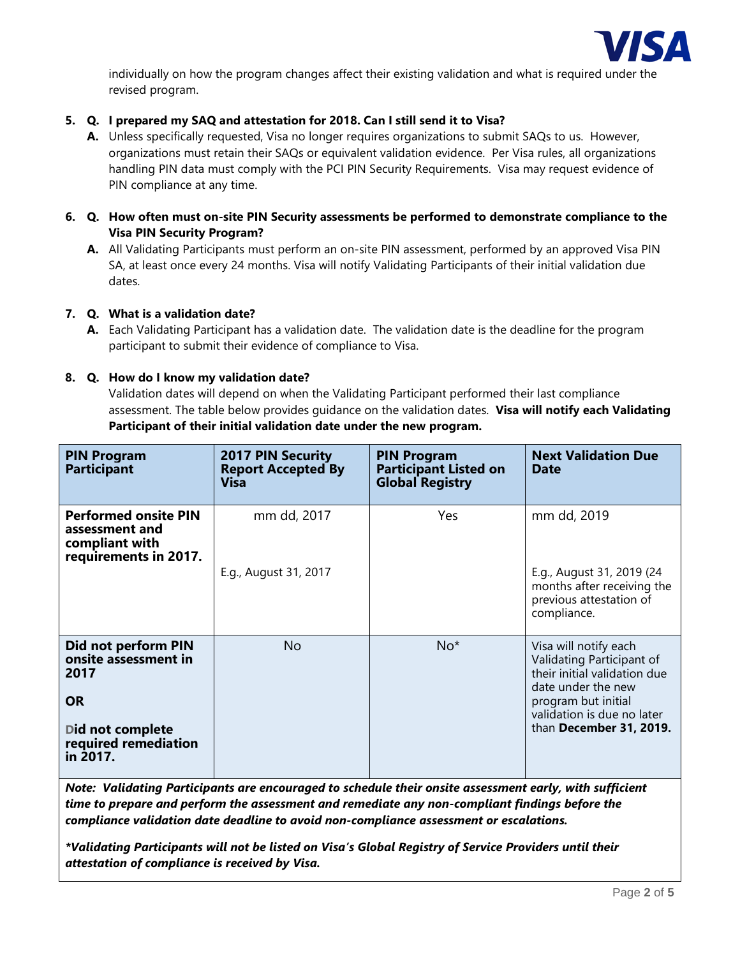

individually on how the program changes affect their existing validation and what is required under the revised program.

# **5. Q. I prepared my SAQ and attestation for 2018. Can I still send it to Visa?**

- **A.** Unless specifically requested, Visa no longer requires organizations to submit SAQs to us. However, organizations must retain their SAQs or equivalent validation evidence. Per Visa rules, all organizations handling PIN data must comply with the PCI PIN Security Requirements. Visa may request evidence of PIN compliance at any time.
- **6. Q. How often must on-site PIN Security assessments be performed to demonstrate compliance to the Visa PIN Security Program?** 
	- **A.** All Validating Participants must perform an on-site PIN assessment, performed by an approved Visa PIN SA, at least once every 24 months. Visa will notify Validating Participants of their initial validation due dates.

# **7. Q. What is a validation date?**

**A.** Each Validating Participant has a validation date. The validation date is the deadline for the program participant to submit their evidence of compliance to Visa.

## **8. Q. How do I know my validation date?**

Validation dates will depend on when the Validating Participant performed their last compliance assessment. The table below provides guidance on the validation dates. **Visa will notify each Validating Participant of their initial validation date under the new program.** 

| <b>PIN Program</b><br><b>Participant</b>                                                                                 | <b>2017 PIN Security</b><br><b>Report Accepted By</b><br><b>Visa</b> | <b>PIN Program</b><br><b>Participant Listed on</b><br><b>Global Registry</b> | <b>Next Validation Due</b><br><b>Date</b>                                                                                                                                                |
|--------------------------------------------------------------------------------------------------------------------------|----------------------------------------------------------------------|------------------------------------------------------------------------------|------------------------------------------------------------------------------------------------------------------------------------------------------------------------------------------|
| <b>Performed onsite PIN</b><br>assessment and<br>compliant with<br>requirements in 2017.                                 | mm dd, 2017<br>E.g., August 31, 2017                                 | <b>Yes</b>                                                                   | mm dd, 2019<br>E.g., August 31, 2019 (24<br>months after receiving the<br>previous attestation of<br>compliance.                                                                         |
| Did not perform PIN<br>onsite assessment in<br>2017<br><b>OR</b><br>Did not complete<br>required remediation<br>in 2017. | No.                                                                  | $No*$                                                                        | Visa will notify each<br>Validating Participant of<br>their initial validation due<br>date under the new<br>program but initial<br>validation is due no later<br>than December 31, 2019. |

*Note: Validating Participants are encouraged to schedule their onsite assessment early, with sufficient time to prepare and perform the assessment and remediate any non-compliant findings before the compliance validation date deadline to avoid non-compliance assessment or escalations.*

*\*Validating Participants will not be listed on Visa's Global Registry of Service Providers until their attestation of compliance is received by Visa.*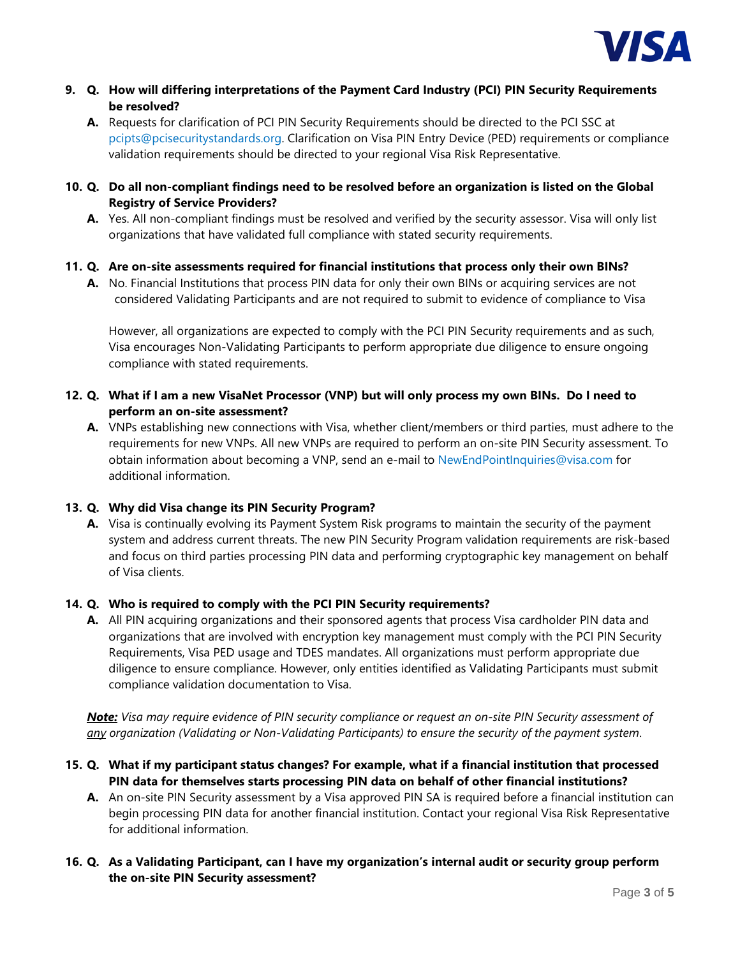

- **9. Q. How will differing interpretations of the Payment Card Industry (PCI) PIN Security Requirements be resolved?** 
	- **A.** Requests for clarification of PCI PIN Security Requirements should be directed to the PCI SSC at [pcipts@pcisecuritystandards.org.](mailto:pcipts@pcisecuritystandards.org) Clarification on Visa PIN Entry Device (PED) requirements or compliance validation requirements should be directed to your regional Visa Risk Representative.
- **10. Q. Do all non-compliant findings need to be resolved before an organization is listed on the Global Registry of Service Providers?** 
	- **A.** Yes. All non-compliant findings must be resolved and verified by the security assessor. Visa will only list organizations that have validated full compliance with stated security requirements.
- **11. Q. Are on-site assessments required for financial institutions that process only their own BINs?** 
	- **A.** No. Financial Institutions that process PIN data for only their own BINs or acquiring services are not considered Validating Participants and are not required to submit to evidence of compliance to Visa

However, all organizations are expected to comply with the PCI PIN Security requirements and as such, Visa encourages Non-Validating Participants to perform appropriate due diligence to ensure ongoing compliance with stated requirements.

- **12. Q. What if I am a new VisaNet Processor (VNP) but will only process my own BINs. Do I need to perform an on-site assessment?**
	- **A.** VNPs establishing new connections with Visa, whether client/members or third parties, must adhere to the requirements for new VNPs. All new VNPs are required to perform an on-site PIN Security assessment. To obtain information about becoming a VNP, send an e-mail to [NewEndPointInquiries@visa.com](mailto:NewEndPointInquiries@visa.com) for additional information.

# **13. Q. Why did Visa change its PIN Security Program?**

**A.** Visa is continually evolving its Payment System Risk programs to maintain the security of the payment system and address current threats. The new PIN Security Program validation requirements are risk-based and focus on third parties processing PIN data and performing cryptographic key management on behalf of Visa clients.

## **14. Q. Who is required to comply with the PCI PIN Security requirements?**

**A.** All PIN acquiring organizations and their sponsored agents that process Visa cardholder PIN data and organizations that are involved with encryption key management must comply with the PCI PIN Security Requirements, Visa PED usage and TDES mandates. All organizations must perform appropriate due diligence to ensure compliance. However, only entities identified as Validating Participants must submit compliance validation documentation to Visa.

*Note: Visa may require evidence of PIN security compliance or request an on-site PIN Security assessment of any organization (Validating or Non-Validating Participants) to ensure the security of the payment system*.

- **15. Q. What if my participant status changes? For example, what if a financial institution that processed PIN data for themselves starts processing PIN data on behalf of other financial institutions?** 
	- **A.** An on-site PIN Security assessment by a Visa approved PIN SA is required before a financial institution can begin processing PIN data for another financial institution. Contact your regional Visa Risk Representative for additional information.

# **16. Q. As a Validating Participant, can I have my organization's internal audit or security group perform the on-site PIN Security assessment?**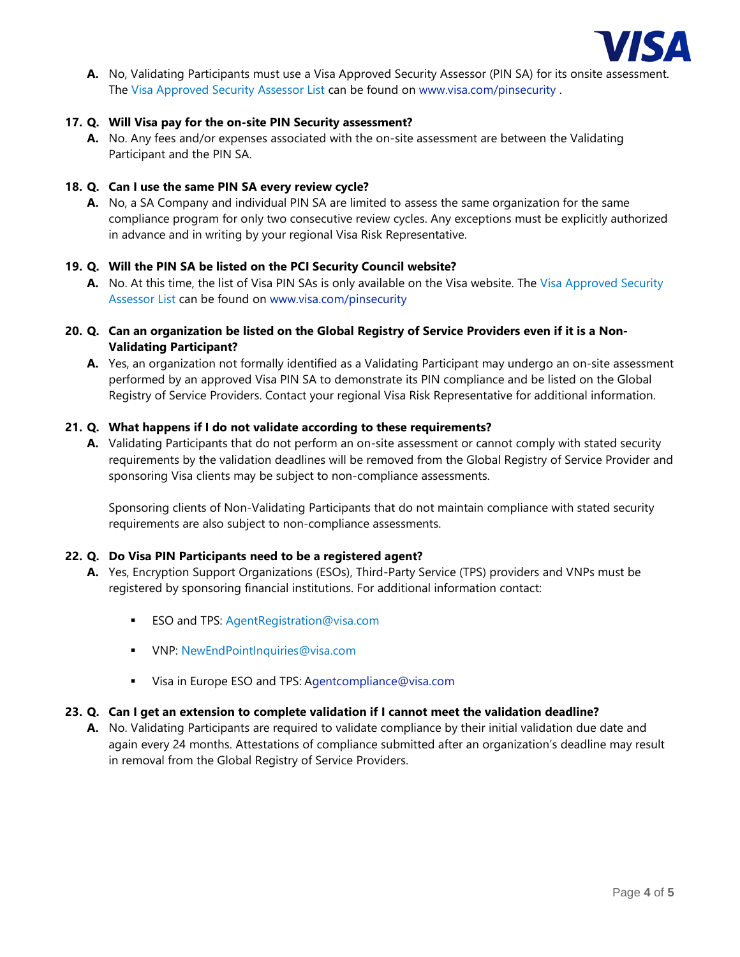

**A.** No, Validating Participants must use a Visa Approved Security Assessor (PIN SA) for its onsite assessment. The [Visa Approved Security Assessor List](https://usa.visa.com/dam/VCOM/download/security/documents/sa-global-list.pdf) can be found on [www.visa.com/pinsecurity](http://www.visa.com/pinsecurity) .

## **17. Q. Will Visa pay for the on-site PIN Security assessment?**

**A.** No. Any fees and/or expenses associated with the on-site assessment are between the Validating Participant and the PIN SA.

#### **18. Q. Can I use the same PIN SA every review cycle?**

**A.** No, a SA Company and individual PIN SA are limited to assess the same organization for the same compliance program for only two consecutive review cycles. Any exceptions must be explicitly authorized in advance and in writing by your regional Visa Risk Representative.

## **19. Q. Will the PIN SA be listed on the PCI Security Council website?**

**A.** No. At this time, the list of Visa PIN SAs is only available on the Visa website. The [Visa Approved Security](https://usa.visa.com/dam/VCOM/download/security/documents/sa-global-list.pdf)  [Assessor](https://usa.visa.com/dam/VCOM/download/security/documents/sa-global-list.pdf) List can be found on [www.visa.com/pinsecurity](http://www.visa.com/pinsecurity)

# **20. Q. Can an organization be listed on the Global Registry of Service Providers even if it is a Non-Validating Participant?**

**A.** Yes, an organization not formally identified as a Validating Participant may undergo an on-site assessment performed by an approved Visa PIN SA to demonstrate its PIN compliance and be listed on the Global Registry of Service Providers. Contact your regional Visa Risk Representative for additional information.

#### **21. Q. What happens if I do not validate according to these requirements?**

**A.** Validating Participants that do not perform an on-site assessment or cannot comply with stated security requirements by the validation deadlines will be removed from the Global Registry of Service Provider and sponsoring Visa clients may be subject to non-compliance assessments.

Sponsoring clients of Non-Validating Participants that do not maintain compliance with stated security requirements are also subject to non-compliance assessments.

#### **22. Q. Do Visa PIN Participants need to be a registered agent?**

- **A.** Yes, Encryption Support Organizations (ESOs), Third-Party Service (TPS) providers and VNPs must be registered by sponsoring financial institutions. For additional information contact:
	- **ESO and TPS: [AgentRegistration@visa.com](mailto:AgentRegistration@visa.com)**
	- **VNP: [NewEndPointInquiries@visa.com](mailto:NewEndPointInquiries@visa.com)**
	- Visa in Europe ESO and TPS: [Agentcompliance@visa.com](mailto:gentcompliance@visa.com)

#### **23. Q. Can I get an extension to complete validation if I cannot meet the validation deadline?**

**A.** No. Validating Participants are required to validate compliance by their initial validation due date and again every 24 months. Attestations of compliance submitted after an organization's deadline may result in removal from the Global Registry of Service Providers.